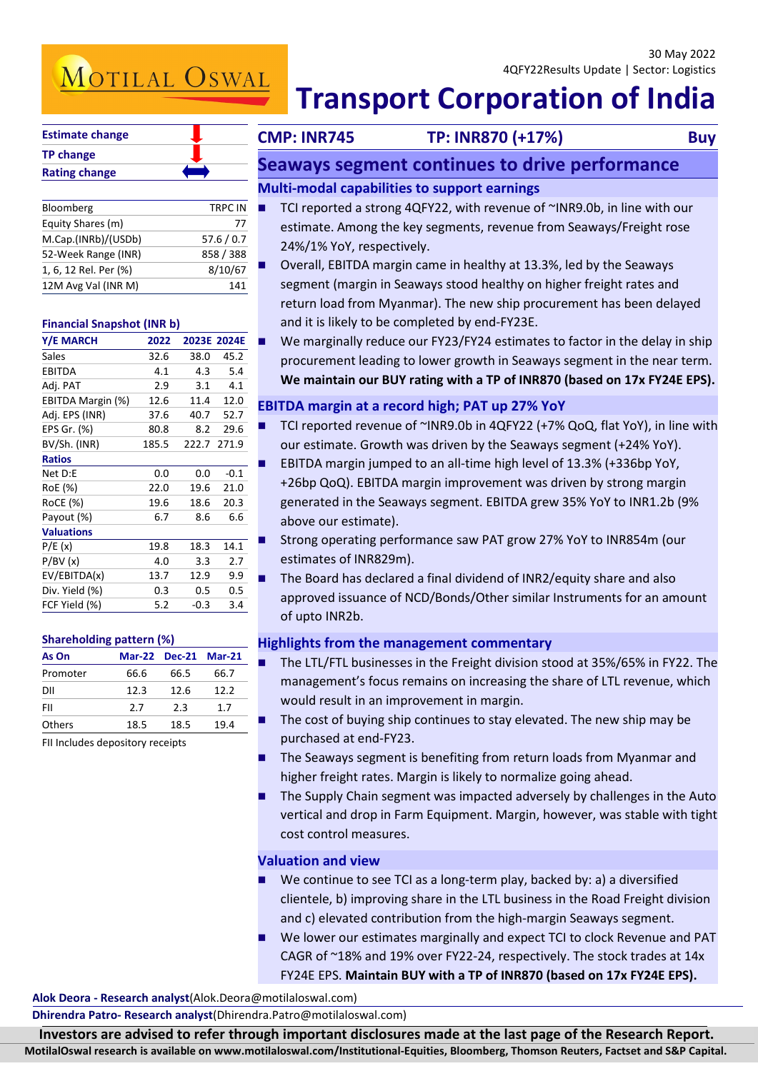# MOTILAL OSWAL

| <b>Estimate change</b> |  |
|------------------------|--|
| <b>TP change</b>       |  |
| <b>Rating change</b>   |  |

| Bloomberg             | <b>TRPC IN</b> |
|-----------------------|----------------|
| Equity Shares (m)     | 77             |
| M.Cap.(INRb)/(USDb)   | 57.6 / 0.7     |
| 52-Week Range (INR)   | 858 / 388      |
| 1, 6, 12 Rel. Per (%) | 8/10/67        |
| 12M Avg Val (INR M)   | 141            |

### **Financial Snapshot (INR b)**

| Y/E MARCH         | 2022  |             | 2023E 2024E |
|-------------------|-------|-------------|-------------|
| Sales             | 32.6  | 38.0        | 45.2        |
| EBITDA            | 4.1   | 4.3         | 5.4         |
| Adj. PAT          | 2.9   | 3.1         | 4.1         |
| EBITDA Margin (%) | 12.6  | 11.4        | 12.0        |
| Adj. EPS (INR)    | 37.6  | 40.7        | 52.7        |
| EPS Gr. (%)       | 80.8  | 8.2         | 29.6        |
| BV/Sh. (INR)      | 185.5 | 222.7 271.9 |             |
| <b>Ratios</b>     |       |             |             |
| Net D:E           | 0.0   | 0.0         | $-0.1$      |
| RoE (%)           | 22.0  | 19.6        | 21.0        |
| RoCE (%)          | 19.6  | 18.6        | 20.3        |
| Payout (%)        | 6.7   | 8.6         | 6.6         |
| <b>Valuations</b> |       |             |             |
| P/E(x)            | 19.8  | 18.3        | 14.1        |
| P/BV(x)           | 4.0   | 3.3         | 2.7         |
| EV/EBITDA(x)      | 13.7  | 12.9        | 9.9         |
| Div. Yield (%)    | 0.3   | 0.5         | 0.5         |
| FCF Yield (%)     | 5.2   | $-0.3$      | 3.4         |

### **Shareholding pattern (%)**

| As On         |      | Mar-22 Dec-21 Mar-21 |      |
|---------------|------|----------------------|------|
| Promoter      | 66.6 | 66.5                 | 66.7 |
| DII           | 12.3 | 12.6                 | 12.2 |
| FII           | 27   | つく                   | 17   |
| <b>Others</b> | 18.5 | 18.5                 | 19.4 |

FII Includes depository receipts

## **Transport Corporation of India**

**CMP: INR745 TP: INR870 (+17%) Buy**

### **Seaways segment continues to drive performance**

### **Multi-modal capabilities to support earnings**

- TCI reported a strong 4QFY22, with revenue of ~INR9.0b, in line with our estimate. Among the key segments, revenue from Seaways/Freight rose 24%/1% YoY, respectively.
- Overall, EBITDA margin came in healthy at 13.3%, led by the Seaways segment (margin in Seaways stood healthy on higher freight rates and return load from Myanmar). The new ship procurement has been delayed and it is likely to be completed by end-FY23E.
- We marginally reduce our FY23/FY24 estimates to factor in the delay in ship procurement leading to lower growth in Seaways segment in the near term. **We maintain our BUY rating with a TP of INR870 (based on 17x FY24E EPS).**

### **EBITDA margin at a record high; PAT up 27% YoY**

- TCI reported revenue of ~INR9.0b in 4QFY22 (+7% QoQ, flat YoY), in line with our estimate. Growth was driven by the Seaways segment (+24% YoY).
- EBITDA margin jumped to an all-time high level of 13.3% (+336bp YoY, +26bp QoQ). EBITDA margin improvement was driven by strong margin generated in the Seaways segment. EBITDA grew 35% YoY to INR1.2b (9% above our estimate).
- Strong operating performance saw PAT grow 27% YoY to INR854m (our estimates of INR829m).
- The Board has declared a final dividend of INR2/equity share and also approved issuance of NCD/Bonds/Other similar Instruments for an amount of upto INR2b.

### **Highlights from the management commentary**

- The LTL/FTL businesses in the Freight division stood at 35%/65% in FY22. The management's focus remains on increasing the share of LTL revenue, which would result in an improvement in margin.
- $\blacksquare$  The cost of buying ship continues to stay elevated. The new ship may be purchased at end-FY23.
- The Seaways segment is benefiting from return loads from Myanmar and higher freight rates. Margin is likely to normalize going ahead.
- The Supply Chain segment was impacted adversely by challenges in the Auto vertical and drop in Farm Equipment. Margin, however, was stable with tight cost control measures.

### **Valuation and view**

- We continue to see TCI as a long-term play, backed by: a) a diversified clientele, b) improving share in the LTL business in the Road Freight division and c) elevated contribution from the high-margin Seaways segment.
- We lower our estimates marginally and expect TCI to clock Revenue and PAT CAGR of ~18% and 19% over FY22-24, respectively. The stock trades at 14x FY24E EPS. **Maintain BUY with a TP of INR870 (based on 17x FY24E EPS).**

**Alok Deora - Research analyst**(Alok.Deora@motilaloswal.com)

**Dhirendra Patro- Research analyst**(Dhirendra.Patro@motilaloswal.com)

Investors are advised to refer through important disclosures made at the last page of the Research Report.

**MotilalOswal research is available on www.motilaloswal.com/Institutional-Equities, Bloomberg, Thomson Reuters, Factset and S&P Capital.**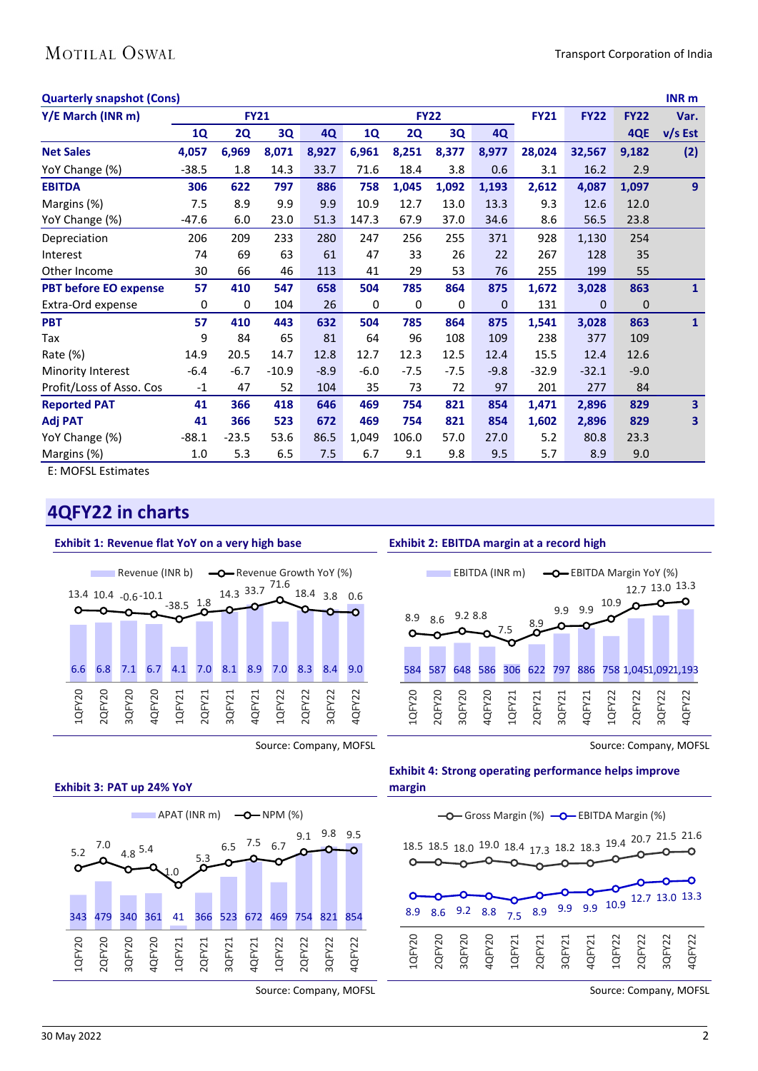| <b>Quarterly snapshot (Cons)</b> |           |         |             |             |        |        |             |             |              |             | <b>INR</b> <sub>m</sub> |
|----------------------------------|-----------|---------|-------------|-------------|--------|--------|-------------|-------------|--------------|-------------|-------------------------|
|                                  |           |         |             |             |        |        |             | <b>FY21</b> | <b>FY22</b>  | <b>FY22</b> | Var.                    |
| <b>1Q</b>                        | <b>2Q</b> | 3Q      | 4Q          | <b>1Q</b>   | 2Q     | 3Q     | <b>4Q</b>   |             |              | 4QE         | $v/s$ Est               |
| 4,057                            | 6,969     | 8,071   | 8,927       | 6,961       | 8,251  | 8,377  | 8,977       | 28,024      | 32,567       | 9,182       | (2)                     |
| $-38.5$                          | 1.8       | 14.3    | 33.7        | 71.6        | 18.4   | 3.8    | 0.6         | 3.1         | 16.2         | 2.9         |                         |
| 306                              | 622       | 797     | 886         | 758         | 1,045  | 1,092  | 1,193       | 2,612       | 4,087        | 1,097       | 9                       |
| 7.5                              | 8.9       | 9.9     | 9.9         | 10.9        | 12.7   | 13.0   | 13.3        | 9.3         | 12.6         | 12.0        |                         |
| $-47.6$                          | 6.0       | 23.0    | 51.3        | 147.3       | 67.9   | 37.0   | 34.6        | 8.6         | 56.5         | 23.8        |                         |
| 206                              | 209       | 233     | 280         | 247         | 256    | 255    | 371         | 928         | 1,130        | 254         |                         |
| 74                               | 69        | 63      | 61          | 47          | 33     | 26     | 22          | 267         | 128          | 35          |                         |
| 30                               | 66        | 46      | 113         | 41          | 29     | 53     | 76          | 255         | 199          | 55          |                         |
| 57                               | 410       | 547     | 658         | 504         | 785    | 864    | 875         | 1,672       | 3,028        | 863         | $\mathbf{1}$            |
| 0                                | 0         | 104     | 26          | $\mathbf 0$ | 0      | 0      | $\mathbf 0$ | 131         | $\mathbf{0}$ | 0           |                         |
| 57                               | 410       | 443     | 632         | 504         | 785    | 864    | 875         | 1,541       | 3,028        | 863         | $\mathbf{1}$            |
| 9                                | 84        | 65      | 81          | 64          | 96     | 108    | 109         | 238         | 377          | 109         |                         |
| 14.9                             | 20.5      | 14.7    | 12.8        | 12.7        | 12.3   | 12.5   | 12.4        | 15.5        | 12.4         | 12.6        |                         |
| $-6.4$                           | $-6.7$    | $-10.9$ | $-8.9$      | $-6.0$      | $-7.5$ | $-7.5$ | $-9.8$      | $-32.9$     | $-32.1$      | $-9.0$      |                         |
| $-1$                             | 47        | 52      | 104         | 35          | 73     | 72     | 97          | 201         | 277          | 84          |                         |
| 41                               | 366       | 418     | 646         | 469         | 754    | 821    | 854         | 1,471       | 2,896        | 829         | $\overline{\mathbf{3}}$ |
| 41                               | 366       | 523     | 672         | 469         | 754    | 821    | 854         | 1,602       | 2,896        | 829         | 3                       |
| $-88.1$                          | $-23.5$   | 53.6    | 86.5        | 1,049       | 106.0  | 57.0   | 27.0        | 5.2         | 80.8         | 23.3        |                         |
| 1.0                              | 5.3       | 6.5     | 7.5         | 6.7         | 9.1    | 9.8    | 9.5         | 5.7         | 8.9          | 9.0         |                         |
|                                  |           |         | <b>FY21</b> |             |        |        | <b>FY22</b> |             |              |             |                         |

E: MOFSL Estimates

### **4QFY22 in charts**

#### **Exhibit 1: Revenue flat YoY on a very high base** Revenue (INR b)  $\leftarrow\leftarrow$  Revenue Growth YoY (%) 14.3 33.7 71.6 18.4 3.8 0.6  $13.4$  10.4  $-0.6$  -10.1  $-38.5$   $1.8$ O 6.6 6.8 7.1 6.7 4.1 7.0 8.1 8.9 7.0 8.3 8.4 9.0 1QFY20 2QFY20 4QFY20 4QFY22 3QFY20 2QFY21 4QFY21 1QFY22 1QFY21 3QFY21 2QFY22 3QFY22

Source: Company, MOFSL





Source: Company, MOFSL

### **Exhibit 2: EBITDA margin at a record high**



Source: Company, MOFSL

### **Exhibit 4: Strong operating performance helps improve margin**



Source: Company, MOFSL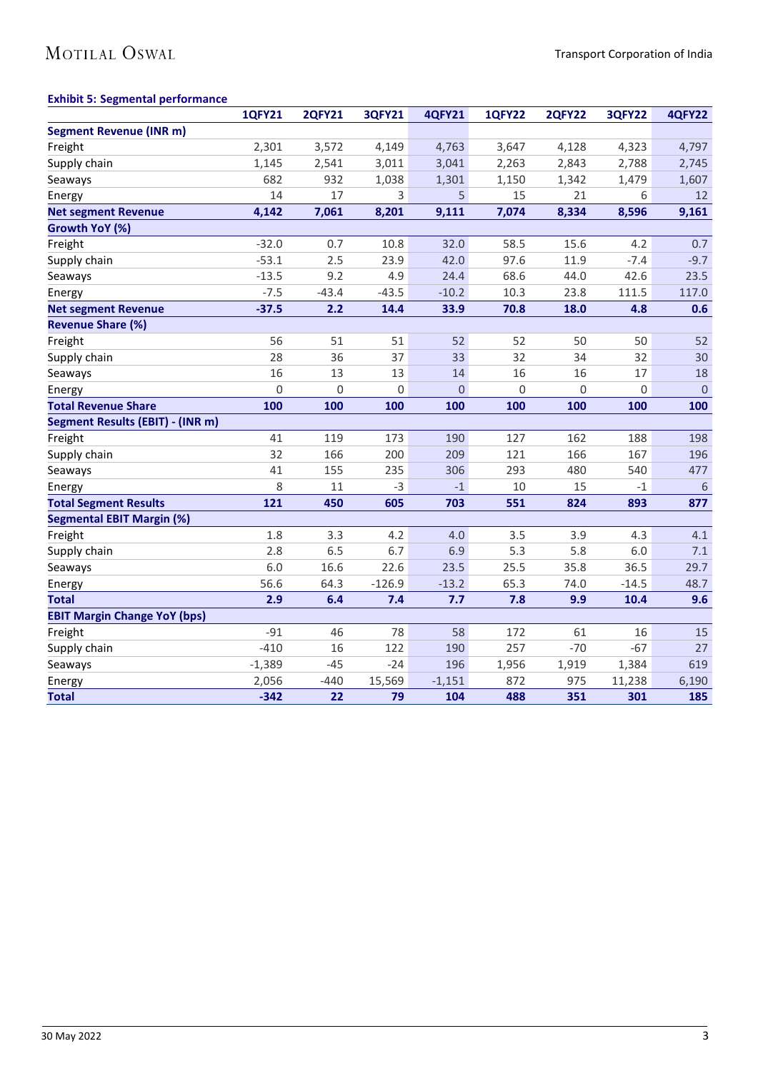## MOTILAL OSWAL

### **Exhibit 5: Segmental performance**

|                                     | <b>1QFY21</b> | <b>2QFY21</b> | <b>3QFY21</b> | <b>4QFY21</b> | <b>1QFY22</b> | <b>2QFY22</b> | <b>3QFY22</b> | <b>4QFY22</b> |
|-------------------------------------|---------------|---------------|---------------|---------------|---------------|---------------|---------------|---------------|
| <b>Segment Revenue (INR m)</b>      |               |               |               |               |               |               |               |               |
| Freight                             | 2,301         | 3,572         | 4,149         | 4,763         | 3,647         | 4,128         | 4,323         | 4,797         |
| Supply chain                        | 1,145         | 2,541         | 3,011         | 3,041         | 2,263         | 2,843         | 2,788         | 2,745         |
| Seaways                             | 682           | 932           | 1,038         | 1,301         | 1,150         | 1,342         | 1,479         | 1,607         |
| Energy                              | 14            | 17            | 3             | 5             | 15            | 21            | 6             | 12            |
| <b>Net segment Revenue</b>          | 4,142         | 7,061         | 8,201         | 9,111         | 7,074         | 8,334         | 8,596         | 9,161         |
| Growth YoY (%)                      |               |               |               |               |               |               |               |               |
| Freight                             | $-32.0$       | 0.7           | 10.8          | 32.0          | 58.5          | 15.6          | 4.2           | 0.7           |
| Supply chain                        | $-53.1$       | 2.5           | 23.9          | 42.0          | 97.6          | 11.9          | $-7.4$        | $-9.7$        |
| Seaways                             | $-13.5$       | 9.2           | 4.9           | 24.4          | 68.6          | 44.0          | 42.6          | 23.5          |
| Energy                              | $-7.5$        | $-43.4$       | $-43.5$       | $-10.2$       | 10.3          | 23.8          | 111.5         | 117.0         |
| <b>Net segment Revenue</b>          | $-37.5$       | 2.2           | 14.4          | 33.9          | 70.8          | 18.0          | 4.8           | 0.6           |
| <b>Revenue Share (%)</b>            |               |               |               |               |               |               |               |               |
| Freight                             | 56            | 51            | 51            | 52            | 52            | 50            | 50            | 52            |
| Supply chain                        | 28            | 36            | 37            | 33            | 32            | 34            | 32            | 30            |
| Seaways                             | 16            | 13            | 13            | 14            | 16            | 16            | 17            | 18            |
| Energy                              | 0             | 0             | $\mathbf 0$   | $\mathbf 0$   | 0             | 0             | 0             | $\mathbf 0$   |
| <b>Total Revenue Share</b>          | 100           | 100           | 100           | 100           | 100           | 100           | 100           | 100           |
| Segment Results (EBIT) - (INR m)    |               |               |               |               |               |               |               |               |
| Freight                             | 41            | 119           | 173           | 190           | 127           | 162           | 188           | 198           |
| Supply chain                        | 32            | 166           | 200           | 209           | 121           | 166           | 167           | 196           |
| Seaways                             | 41            | 155           | 235           | 306           | 293           | 480           | 540           | 477           |
| Energy                              | 8             | 11            | $-3$          | $-1$          | 10            | 15            | $-1$          | 6             |
| <b>Total Segment Results</b>        | 121           | 450           | 605           | 703           | 551           | 824           | 893           | 877           |
| <b>Segmental EBIT Margin (%)</b>    |               |               |               |               |               |               |               |               |
| Freight                             | 1.8           | 3.3           | 4.2           | 4.0           | 3.5           | 3.9           | 4.3           | 4.1           |
| Supply chain                        | 2.8           | 6.5           | 6.7           | 6.9           | 5.3           | 5.8           | 6.0           | 7.1           |
| Seaways                             | 6.0           | 16.6          | 22.6          | 23.5          | 25.5          | 35.8          | 36.5          | 29.7          |
| Energy                              | 56.6          | 64.3          | $-126.9$      | $-13.2$       | 65.3          | 74.0          | $-14.5$       | 48.7          |
| <b>Total</b>                        | 2.9           | 6.4           | 7.4           | 7.7           | 7.8           | 9.9           | 10.4          | 9.6           |
| <b>EBIT Margin Change YoY (bps)</b> |               |               |               |               |               |               |               |               |
| Freight                             | $-91$         | 46            | 78            | 58            | 172           | 61            | 16            | 15            |
| Supply chain                        | $-410$        | 16            | 122           | 190           | 257           | $-70$         | $-67$         | 27            |
| Seaways                             | $-1,389$      | $-45$         | $-24$         | 196           | 1,956         | 1,919         | 1,384         | 619           |
| Energy                              | 2,056         | $-440$        | 15,569        | $-1,151$      | 872           | 975           | 11,238        | 6,190         |
| <b>Total</b>                        | $-342$        | 22            | 79            | 104           | 488           | 351           | 301           | 185           |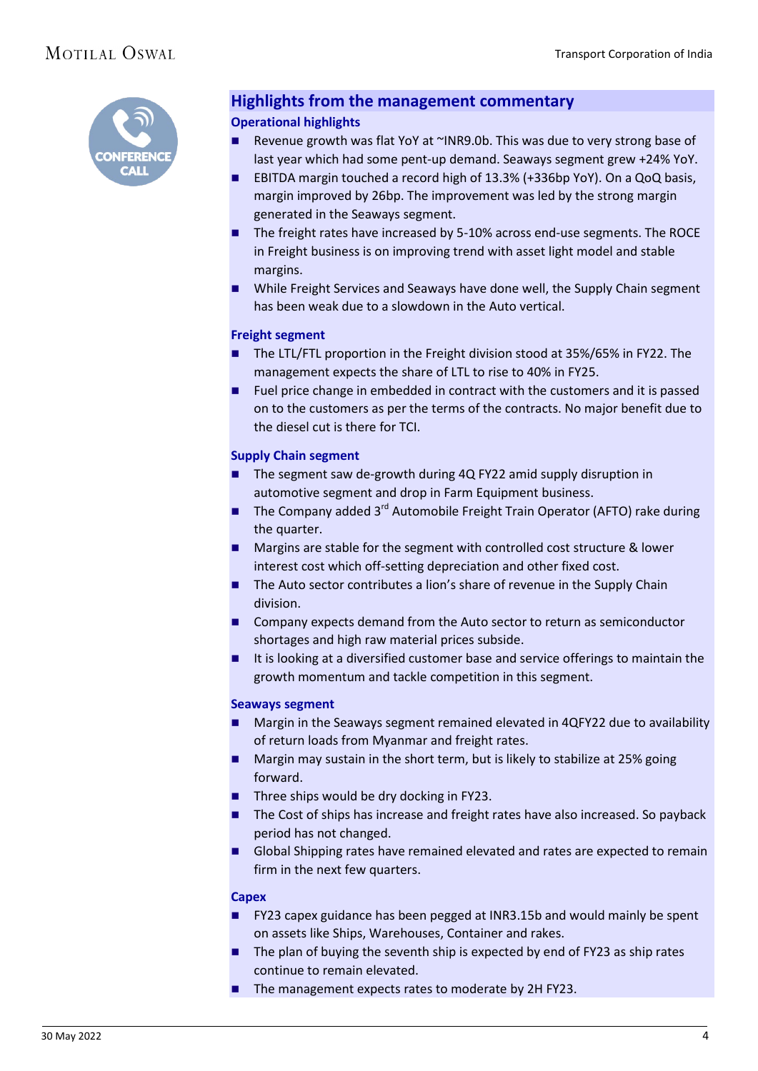

### **Highlights from the management commentary**

### **Operational highlights**

- Revenue growth was flat YoY at ~INR9.0b. This was due to very strong base of last year which had some pent-up demand. Seaways segment grew +24% YoY.
- EBITDA margin touched a record high of 13.3% (+336bp YoY). On a QoQ basis, margin improved by 26bp. The improvement was led by the strong margin generated in the Seaways segment.
- The freight rates have increased by 5-10% across end-use segments. The ROCE in Freight business is on improving trend with asset light model and stable margins.
- While Freight Services and Seaways have done well, the Supply Chain segment has been weak due to a slowdown in the Auto vertical.

### **Freight segment**

- The LTL/FTL proportion in the Freight division stood at 35%/65% in FY22. The management expects the share of LTL to rise to 40% in FY25.
- Fuel price change in embedded in contract with the customers and it is passed on to the customers as per the terms of the contracts. No major benefit due to the diesel cut is there for TCI.

### **Supply Chain segment**

- The segment saw de-growth during 4Q FY22 amid supply disruption in automotive segment and drop in Farm Equipment business.
- The Company added  $3^{rd}$  Automobile Freight Train Operator (AFTO) rake during the quarter.
- Margins are stable for the segment with controlled cost structure & lower interest cost which off-setting depreciation and other fixed cost.
- The Auto sector contributes a lion's share of revenue in the Supply Chain division.
- **E** Company expects demand from the Auto sector to return as semiconductor shortages and high raw material prices subside.
- It is looking at a diversified customer base and service offerings to maintain the growth momentum and tackle competition in this segment.

### **Seaways segment**

- Margin in the Seaways segment remained elevated in 4QFY22 due to availability of return loads from Myanmar and freight rates.
- **Margin may sustain in the short term, but is likely to stabilize at 25% going** forward.
- Three ships would be dry docking in FY23.
- The Cost of ships has increase and freight rates have also increased. So payback period has not changed.
- Global Shipping rates have remained elevated and rates are expected to remain firm in the next few quarters.

### **Capex**

- **FY23 capex guidance has been pegged at INR3.15b and would mainly be spent** on assets like Ships, Warehouses, Container and rakes.
- $\blacksquare$  The plan of buying the seventh ship is expected by end of FY23 as ship rates continue to remain elevated.
- The management expects rates to moderate by 2H FY23.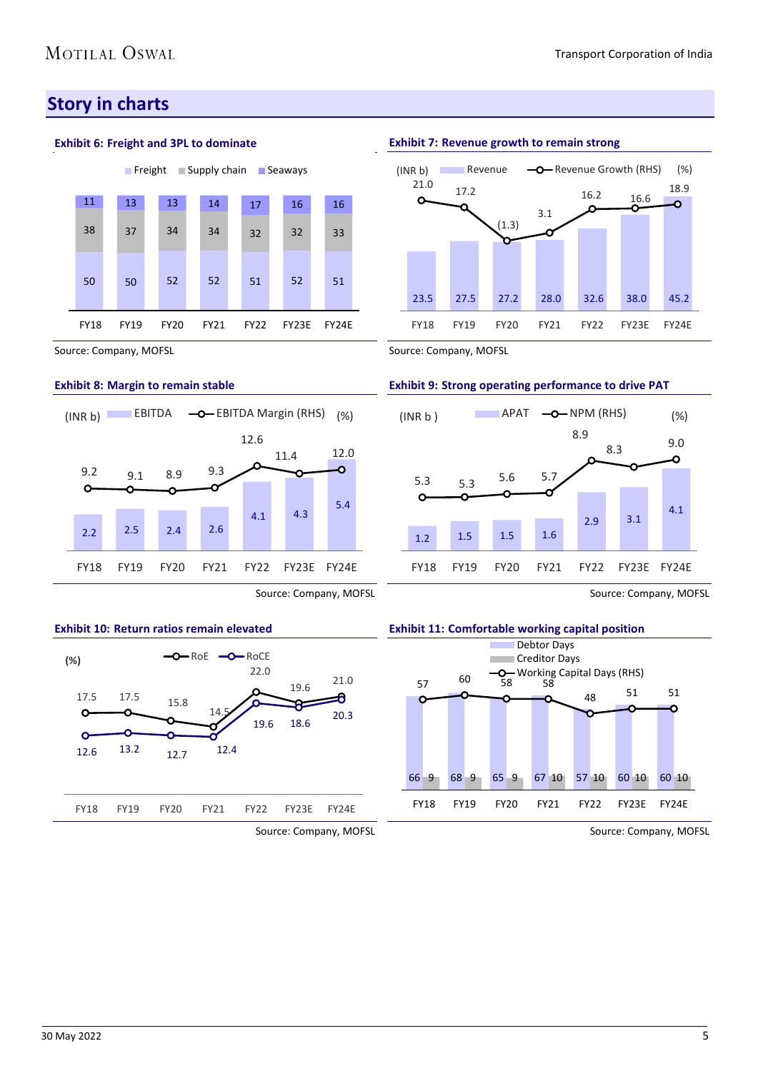### **Story in charts**

### **Exhibit 6: Freight and 3PL to dominate**



Source: Company, MOFSL

### **Exhibit 8: Margin to remain stable**



### Source: Company, MOFSL



### Source: Company, MOFSL

### **Exhibit 7: Revenue growth to remain strong**



Source: Company, MOFSL

### **Exhibit 9: Strong operating performance to drive PAT**







Source: Company, MOFSL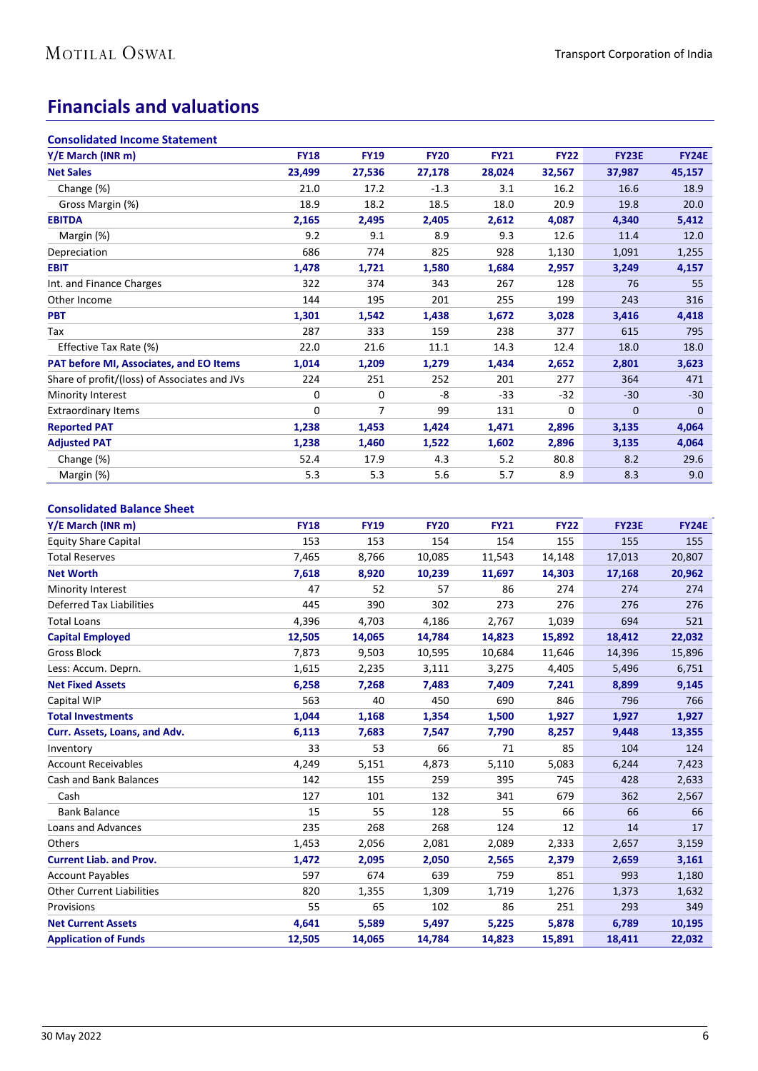### **Financials and valuations**

| <b>Consolidated Income Statement</b>         |             |             |             |             |             |              |              |
|----------------------------------------------|-------------|-------------|-------------|-------------|-------------|--------------|--------------|
| Y/E March (INR m)                            | <b>FY18</b> | <b>FY19</b> | <b>FY20</b> | <b>FY21</b> | <b>FY22</b> | <b>FY23E</b> | <b>FY24E</b> |
| <b>Net Sales</b>                             | 23,499      | 27,536      | 27,178      | 28,024      | 32,567      | 37,987       | 45,157       |
| Change (%)                                   | 21.0        | 17.2        | $-1.3$      | 3.1         | 16.2        | 16.6         | 18.9         |
| Gross Margin (%)                             | 18.9        | 18.2        | 18.5        | 18.0        | 20.9        | 19.8         | 20.0         |
| <b>EBITDA</b>                                | 2,165       | 2,495       | 2,405       | 2,612       | 4,087       | 4,340        | 5,412        |
| Margin (%)                                   | 9.2         | 9.1         | 8.9         | 9.3         | 12.6        | 11.4         | 12.0         |
| Depreciation                                 | 686         | 774         | 825         | 928         | 1,130       | 1,091        | 1,255        |
| <b>EBIT</b>                                  | 1,478       | 1,721       | 1,580       | 1,684       | 2,957       | 3,249        | 4,157        |
| Int. and Finance Charges                     | 322         | 374         | 343         | 267         | 128         | 76           | 55           |
| Other Income                                 | 144         | 195         | 201         | 255         | 199         | 243          | 316          |
| <b>PBT</b>                                   | 1,301       | 1,542       | 1,438       | 1,672       | 3,028       | 3,416        | 4,418        |
| Tax                                          | 287         | 333         | 159         | 238         | 377         | 615          | 795          |
| Effective Tax Rate (%)                       | 22.0        | 21.6        | 11.1        | 14.3        | 12.4        | 18.0         | 18.0         |
| PAT before MI, Associates, and EO Items      | 1,014       | 1,209       | 1,279       | 1,434       | 2,652       | 2,801        | 3,623        |
| Share of profit/(loss) of Associates and JVs | 224         | 251         | 252         | 201         | 277         | 364          | 471          |
| Minority Interest                            | 0           | 0           | -8          | $-33$       | $-32$       | $-30$        | $-30$        |
| <b>Extraordinary Items</b>                   | 0           | 7           | 99          | 131         | 0           | $\mathbf{0}$ | $\mathbf{0}$ |
| <b>Reported PAT</b>                          | 1,238       | 1,453       | 1,424       | 1,471       | 2,896       | 3,135        | 4,064        |
| <b>Adjusted PAT</b>                          | 1,238       | 1,460       | 1,522       | 1,602       | 2,896       | 3,135        | 4,064        |
| Change (%)                                   | 52.4        | 17.9        | 4.3         | 5.2         | 80.8        | 8.2          | 29.6         |
| Margin (%)                                   | 5.3         | 5.3         | 5.6         | 5.7         | 8.9         | 8.3          | 9.0          |

### **Consolidated Balance Sheet**

| Y/E March (INR m)                | <b>FY18</b> | <b>FY19</b> | <b>FY20</b> | <b>FY21</b> | <b>FY22</b> | <b>FY23E</b> | <b>FY24E</b> |
|----------------------------------|-------------|-------------|-------------|-------------|-------------|--------------|--------------|
| <b>Equity Share Capital</b>      | 153         | 153         | 154         | 154         | 155         | 155          | 155          |
| <b>Total Reserves</b>            | 7,465       | 8,766       | 10,085      | 11,543      | 14,148      | 17,013       | 20,807       |
| <b>Net Worth</b>                 | 7,618       | 8,920       | 10,239      | 11,697      | 14,303      | 17,168       | 20,962       |
| <b>Minority Interest</b>         | 47          | 52          | 57          | 86          | 274         | 274          | 274          |
| <b>Deferred Tax Liabilities</b>  | 445         | 390         | 302         | 273         | 276         | 276          | 276          |
| <b>Total Loans</b>               | 4,396       | 4,703       | 4,186       | 2,767       | 1,039       | 694          | 521          |
| <b>Capital Employed</b>          | 12,505      | 14,065      | 14,784      | 14,823      | 15,892      | 18,412       | 22,032       |
| <b>Gross Block</b>               | 7,873       | 9,503       | 10,595      | 10,684      | 11,646      | 14,396       | 15,896       |
| Less: Accum. Deprn.              | 1,615       | 2,235       | 3,111       | 3,275       | 4,405       | 5,496        | 6,751        |
| <b>Net Fixed Assets</b>          | 6,258       | 7,268       | 7,483       | 7,409       | 7,241       | 8,899        | 9,145        |
| Capital WIP                      | 563         | 40          | 450         | 690         | 846         | 796          | 766          |
| <b>Total Investments</b>         | 1,044       | 1,168       | 1,354       | 1,500       | 1,927       | 1,927        | 1,927        |
| Curr. Assets, Loans, and Adv.    | 6,113       | 7,683       | 7,547       | 7,790       | 8,257       | 9,448        | 13,355       |
| Inventory                        | 33          | 53          | 66          | 71          | 85          | 104          | 124          |
| <b>Account Receivables</b>       | 4,249       | 5,151       | 4,873       | 5,110       | 5,083       | 6,244        | 7,423        |
| <b>Cash and Bank Balances</b>    | 142         | 155         | 259         | 395         | 745         | 428          | 2,633        |
| Cash                             | 127         | 101         | 132         | 341         | 679         | 362          | 2,567        |
| <b>Bank Balance</b>              | 15          | 55          | 128         | 55          | 66          | 66           | 66           |
| Loans and Advances               | 235         | 268         | 268         | 124         | 12          | 14           | 17           |
| Others                           | 1,453       | 2,056       | 2,081       | 2,089       | 2,333       | 2,657        | 3,159        |
| <b>Current Liab. and Prov.</b>   | 1,472       | 2,095       | 2,050       | 2,565       | 2,379       | 2,659        | 3,161        |
| <b>Account Payables</b>          | 597         | 674         | 639         | 759         | 851         | 993          | 1,180        |
| <b>Other Current Liabilities</b> | 820         | 1,355       | 1,309       | 1,719       | 1,276       | 1,373        | 1,632        |
| Provisions                       | 55          | 65          | 102         | 86          | 251         | 293          | 349          |
| <b>Net Current Assets</b>        | 4,641       | 5,589       | 5,497       | 5,225       | 5,878       | 6,789        | 10,195       |
| <b>Application of Funds</b>      | 12,505      | 14,065      | 14,784      | 14,823      | 15,891      | 18,411       | 22,032       |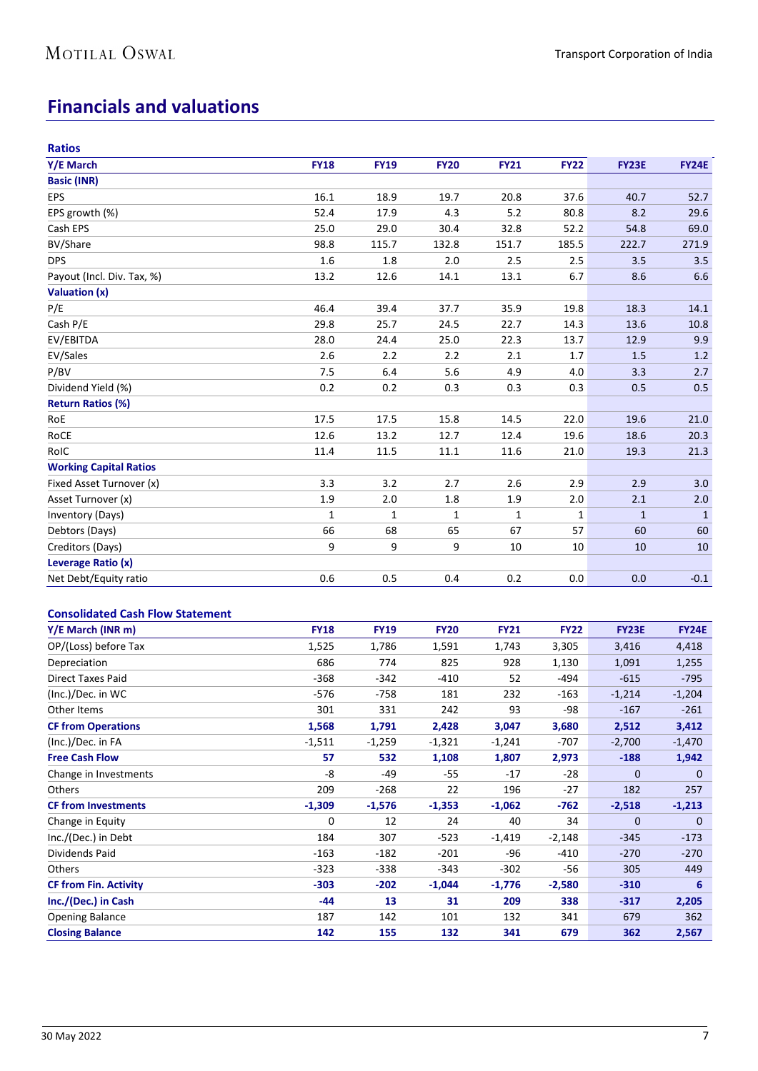### **Financials and valuations**

| <b>Ratios</b>                 |             |              |             |             |             |              |              |
|-------------------------------|-------------|--------------|-------------|-------------|-------------|--------------|--------------|
| Y/E March                     | <b>FY18</b> | <b>FY19</b>  | <b>FY20</b> | <b>FY21</b> | <b>FY22</b> | <b>FY23E</b> | <b>FY24E</b> |
| <b>Basic (INR)</b>            |             |              |             |             |             |              |              |
| <b>EPS</b>                    | 16.1        | 18.9         | 19.7        | 20.8        | 37.6        | 40.7         | 52.7         |
| EPS growth (%)                | 52.4        | 17.9         | 4.3         | 5.2         | 80.8        | 8.2          | 29.6         |
| Cash EPS                      | 25.0        | 29.0         | 30.4        | 32.8        | 52.2        | 54.8         | 69.0         |
| BV/Share                      | 98.8        | 115.7        | 132.8       | 151.7       | 185.5       | 222.7        | 271.9        |
| <b>DPS</b>                    | 1.6         | 1.8          | 2.0         | 2.5         | 2.5         | 3.5          | 3.5          |
| Payout (Incl. Div. Tax, %)    | 13.2        | 12.6         | 14.1        | 13.1        | 6.7         | 8.6          | 6.6          |
| Valuation (x)                 |             |              |             |             |             |              |              |
| P/E                           | 46.4        | 39.4         | 37.7        | 35.9        | 19.8        | 18.3         | 14.1         |
| Cash P/E                      | 29.8        | 25.7         | 24.5        | 22.7        | 14.3        | 13.6         | 10.8         |
| EV/EBITDA                     | 28.0        | 24.4         | 25.0        | 22.3        | 13.7        | 12.9         | 9.9          |
| EV/Sales                      | 2.6         | 2.2          | 2.2         | 2.1         | 1.7         | 1.5          | 1.2          |
| P/BV                          | 7.5         | 6.4          | 5.6         | 4.9         | 4.0         | 3.3          | 2.7          |
| Dividend Yield (%)            | 0.2         | 0.2          | 0.3         | 0.3         | 0.3         | 0.5          | 0.5          |
| <b>Return Ratios (%)</b>      |             |              |             |             |             |              |              |
| RoE                           | 17.5        | 17.5         | 15.8        | 14.5        | 22.0        | 19.6         | 21.0         |
| RoCE                          | 12.6        | 13.2         | 12.7        | 12.4        | 19.6        | 18.6         | 20.3         |
| RoIC                          | 11.4        | 11.5         | 11.1        | 11.6        | 21.0        | 19.3         | 21.3         |
| <b>Working Capital Ratios</b> |             |              |             |             |             |              |              |
| Fixed Asset Turnover (x)      | 3.3         | 3.2          | 2.7         | 2.6         | 2.9         | 2.9          | 3.0          |
| Asset Turnover (x)            | 1.9         | 2.0          | 1.8         | 1.9         | 2.0         | 2.1          | 2.0          |
| Inventory (Days)              | 1           | $\mathbf{1}$ | 1           | 1           | 1           | $\mathbf{1}$ | $\mathbf{1}$ |
| Debtors (Days)                | 66          | 68           | 65          | 67          | 57          | 60           | 60           |
| Creditors (Days)              | 9           | 9            | 9           | 10          | 10          | 10           | 10           |
| Leverage Ratio (x)            |             |              |             |             |             |              |              |
| Net Debt/Equity ratio         | 0.6         | 0.5          | 0.4         | 0.2         | 0.0         | 0.0          | $-0.1$       |

### **Consolidated Cash Flow Statement**

| Y/E March (INR m)            | <b>FY18</b> | <b>FY19</b> | <b>FY20</b> | <b>FY21</b> | <b>FY22</b> | <b>FY23E</b> | <b>FY24E</b> |
|------------------------------|-------------|-------------|-------------|-------------|-------------|--------------|--------------|
| OP/(Loss) before Tax         | 1,525       | 1,786       | 1,591       | 1,743       | 3,305       | 3,416        | 4,418        |
| Depreciation                 | 686         | 774         | 825         | 928         | 1,130       | 1,091        | 1,255        |
| <b>Direct Taxes Paid</b>     | $-368$      | $-342$      | $-410$      | 52          | -494        | $-615$       | $-795$       |
| (Inc.)/Dec. in WC            | -576        | -758        | 181         | 232         | $-163$      | $-1,214$     | $-1,204$     |
| Other Items                  | 301         | 331         | 242         | 93          | -98         | $-167$       | $-261$       |
| <b>CF from Operations</b>    | 1,568       | 1,791       | 2,428       | 3,047       | 3,680       | 2,512        | 3,412        |
| (Inc.)/Dec. in FA            | $-1,511$    | $-1,259$    | $-1,321$    | $-1,241$    | -707        | $-2,700$     | $-1,470$     |
| <b>Free Cash Flow</b>        | 57          | 532         | 1,108       | 1,807       | 2,973       | $-188$       | 1,942        |
| Change in Investments        | -8          | -49         | $-55$       | $-17$       | $-28$       | 0            | 0            |
| <b>Others</b>                | 209         | $-268$      | 22          | 196         | $-27$       | 182          | 257          |
| <b>CF from Investments</b>   | $-1,309$    | $-1,576$    | $-1,353$    | $-1,062$    | $-762$      | $-2,518$     | $-1,213$     |
| Change in Equity             | 0           | 12          | 24          | 40          | 34          | $\mathbf{0}$ | 0            |
| Inc./(Dec.) in Debt          | 184         | 307         | $-523$      | $-1,419$    | $-2,148$    | $-345$       | $-173$       |
| Dividends Paid               | $-163$      | $-182$      | $-201$      | $-96$       | $-410$      | $-270$       | $-270$       |
| Others                       | $-323$      | $-338$      | $-343$      | $-302$      | -56         | 305          | 449          |
| <b>CF from Fin. Activity</b> | $-303$      | $-202$      | $-1,044$    | $-1,776$    | $-2,580$    | $-310$       | 6            |
| Inc./(Dec.) in Cash          | -44         | 13          | 31          | 209         | 338         | $-317$       | 2,205        |
| <b>Opening Balance</b>       | 187         | 142         | 101         | 132         | 341         | 679          | 362          |
| <b>Closing Balance</b>       | 142         | 155         | 132         | 341         | 679         | 362          | 2,567        |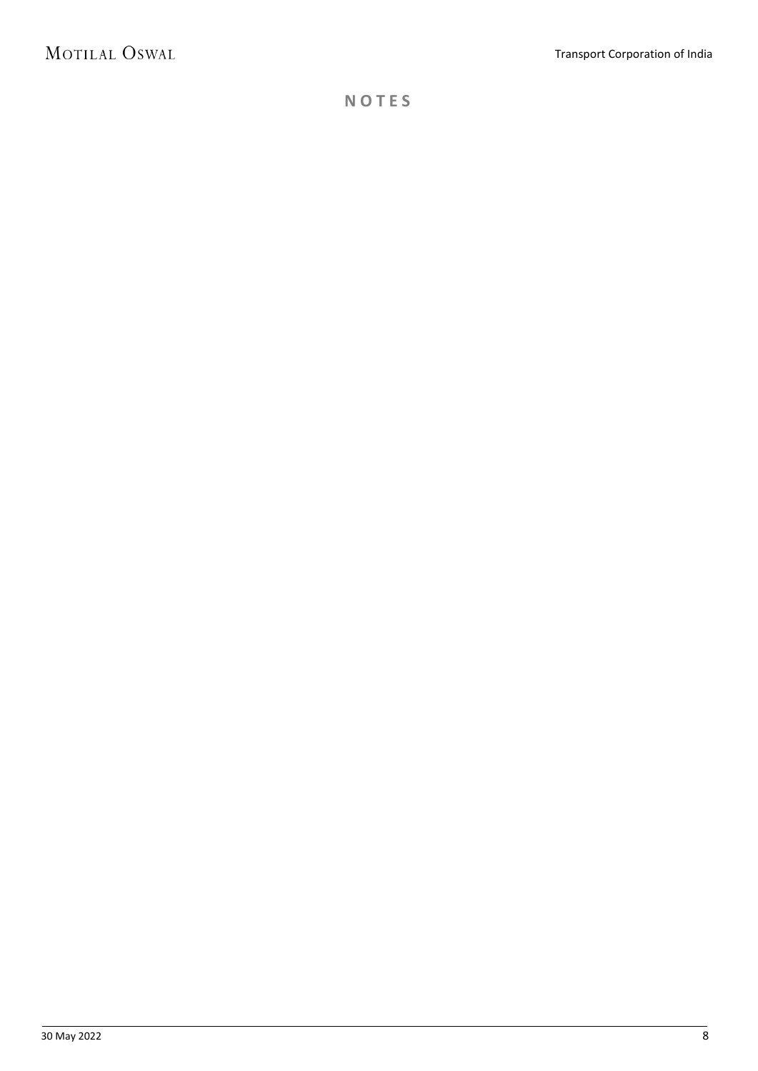**N O T E S**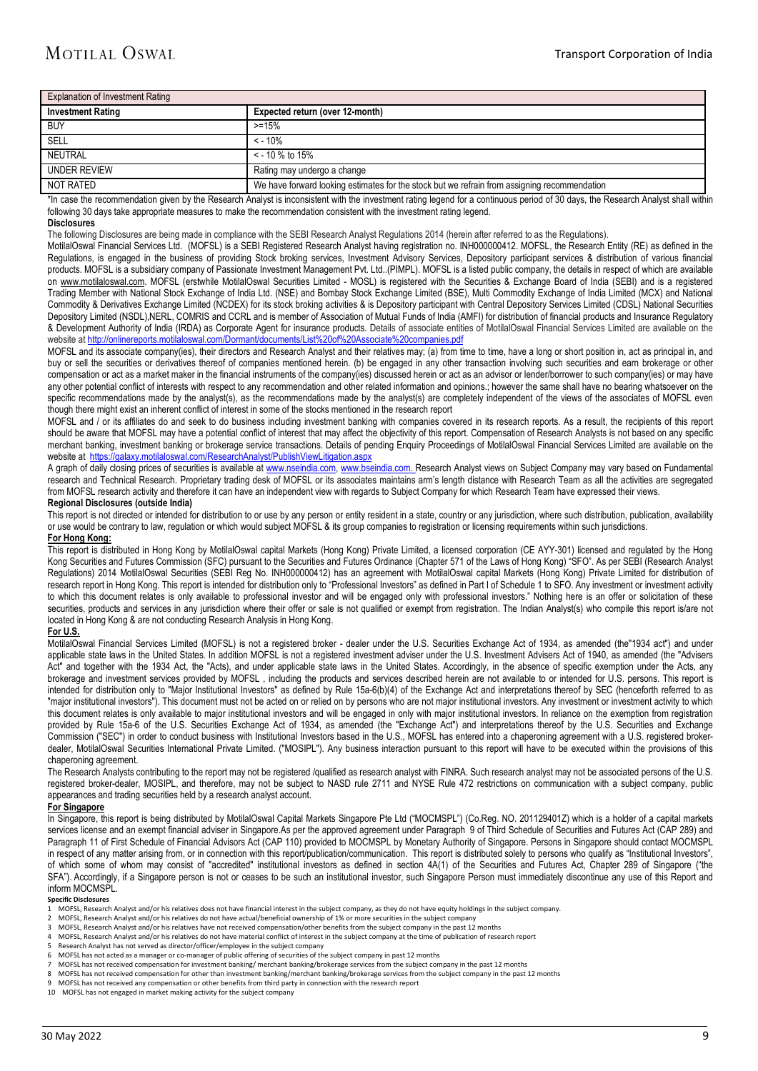| Explanation of Investment Rating |                                                                                              |  |  |  |  |
|----------------------------------|----------------------------------------------------------------------------------------------|--|--|--|--|
| <b>Investment Rating</b>         | Expected return (over 12-month)                                                              |  |  |  |  |
| <b>BUY</b>                       | $> = 15%$                                                                                    |  |  |  |  |
| SELL                             | $< -10%$                                                                                     |  |  |  |  |
| NEUTRAL                          | $\le$ - 10 % to 15%                                                                          |  |  |  |  |
| <b>UNDER REVIEW</b>              | Rating may undergo a change                                                                  |  |  |  |  |
| NOT RATED                        | We have forward looking estimates for the stock but we refrain from assigning recommendation |  |  |  |  |

\*In case the recommendation given by the Research Analyst is inconsistent with the investment rating legend for a continuous period of 30 days, the Research Analyst shall within following 30 days take appropriate measures to make the recommendation consistent with the investment rating legend.

#### **Disclosures**

The following Disclosures are being made in compliance with the SEBI Research Analyst Regulations 2014 (herein after referred to as the Regulations).

MotilalOswal Financial Services Ltd. (MOFSL) is a SEBI Registered Research Analyst having registration no. INH000000412. MOFSL, the Research Entity (RE) as defined in the Regulations, is engaged in the business of providing Stock broking services, Investment Advisory Services, Depository participant services & distribution of various financial products. MOFSL is a subsidiary company of Passionate Investment Management Pvt. Ltd..(PIMPL). MOFSL is a listed public company, the details in respect of which are available on [www.motilaloswal.com.](http://www.motilaloswal.com/) MOFSL (erstwhile MotilalOswal Securities Limited - MOSL) is registered with the Securities & Exchange Board of India (SEBI) and is a registered Trading Member with National Stock Exchange of India Ltd. (NSE) and Bombay Stock Exchange Limited (BSE), Multi Commodity Exchange of India Limited (MCX) and National Commodity & Derivatives Exchange Limited (NCDEX) for its stock broking activities & is Depository participant with Central Depository Services Limited (CDSL) National Securities Depository Limited (NSDL),NERL, COMRIS and CCRL and is member of Association of Mutual Funds of India (AMFI) for distribution of financial products and Insurance Regulatory & Development Authority of India (IRDA) as Corporate Agent for insurance products. Details of associate entities of MotilalOswal Financial Services Limited are available on the website a[t http://onlinereports.motilaloswal.com/Dormant/documents/List%20of%20Associate%20companies.pdf](http://onlinereports.motilaloswal.com/Dormant/documents/List%20of%20Associate%20companies.pdf)

MOFSL and its associate company(ies), their directors and Research Analyst and their relatives may; (a) from time to time, have a long or short position in, act as principal in, and buy or sell the securities or derivatives thereof of companies mentioned herein. (b) be engaged in any other transaction involving such securities and earn brokerage or other compensation or act as a market maker in the financial instruments of the company(ies) discussed herein or act as an advisor or lender/borrower to such company(ies) or may have any other potential conflict of interests with respect to any recommendation and other related information and opinions.; however the same shall have no bearing whatsoever on the specific recommendations made by the analyst(s), as the recommendations made by the analyst(s) are completely independent of the views of the associates of MOFSL even though there might exist an inherent conflict of interest in some of the stocks mentioned in the research report

MOFSL and / or its affiliates do and seek to do business including investment banking with companies covered in its research reports. As a result, the recipients of this report should be aware that MOFSL may have a potential conflict of interest that may affect the objectivity of this report. Compensation of Research Analysts is not based on any specific merchant banking, investment banking or brokerage service transactions. Details of pending Enquiry Proceedings of MotilalOswal Financial Services Limited are available on the website at<https://galaxy.motilaloswal.com/ResearchAnalyst/PublishViewLitigation.aspx>

A graph of daily closing prices of securities is available a[t www.nseindia.com,](http://www.nseindia.com/) [www.bseindia.com.](http://www.bseindia.com/) Research Analyst views on Subject Company may vary based on Fundamental research and Technical Research. Proprietary trading desk of MOFSL or its associates maintains arm's length distance with Research Team as all the activities are segregated from MOFSL research activity and therefore it can have an independent view with regards to Subject Company for which Research Team have expressed their views.

#### **Regional Disclosures (outside India)**

This report is not directed or intended for distribution to or use by any person or entity resident in a state, country or any jurisdiction, where such distribution, publication, availability or use would be contrary to law, regulation or which would subject MOFSL & its group companies to registration or licensing requirements within such jurisdictions. **For Hong Kong:** 

This report is distributed in Hong Kong by MotilalOswal capital Markets (Hong Kong) Private Limited, a licensed corporation (CE AYY-301) licensed and regulated by the Hong Kong Securities and Futures Commission (SFC) pursuant to the Securities and Futures Ordinance (Chapter 571 of the Laws of Hong Kong) "SFO". As per SEBI (Research Analyst Regulations) 2014 MotilalOswal Securities (SEBI Reg No. INH000000412) has an agreement with MotilalOswal capital Markets (Hong Kong) Private Limited for distribution of research report in Hong Kong. This report is intended for distribution only to "Professional Investors" as defined in Part I of Schedule 1 to SFO. Any investment or investment activity to which this document relates is only available to professional investor and will be engaged only with professional investors." Nothing here is an offer or solicitation of these securities, products and services in any jurisdiction where their offer or sale is not qualified or exempt from registration. The Indian Analyst(s) who compile this report is/are not located in Hong Kong & are not conducting Research Analysis in Hong Kong.

### **For U.S.**

MotilalOswal Financial Services Limited (MOFSL) is not a registered broker - dealer under the U.S. Securities Exchange Act of 1934, as amended (the 1934 act<sup>"</sup>) and under applicable state laws in the United States. In addition MOFSL is not a registered investment adviser under the U.S. Investment Advisers Act of 1940, as amended (the "Advisers Act" and together with the 1934 Act, the "Acts), and under applicable state laws in the United States. Accordingly, in the absence of specific exemption under the Acts, any brokerage and investment services provided by MOFSL , including the products and services described herein are not available to or intended for U.S. persons. This report is intended for distribution only to "Major Institutional Investors" as defined by Rule 15a-6(b)(4) of the Exchange Act and interpretations thereof by SEC (henceforth referred to as "major institutional investors"). This document must not be acted on or relied on by persons who are not major institutional investors. Any investment or investment activity to which this document relates is only available to major institutional investors and will be engaged in only with major institutional investors. In reliance on the exemption from registration provided by Rule 15a-6 of the U.S. Securities Exchange Act of 1934, as amended (the "Exchange Act") and interpretations thereof by the U.S. Securities and Exchange Commission ("SEC") in order to conduct business with Institutional Investors based in the U.S., MOFSL has entered into a chaperoning agreement with a U.S. registered brokerdealer, MotilalOswal Securities International Private Limited. ("MOSIPL"). Any business interaction pursuant to this report will have to be executed within the provisions of this chaperoning agreement.

The Research Analysts contributing to the report may not be registered /qualified as research analyst with FINRA. Such research analyst may not be associated persons of the U.S. registered broker-dealer, MOSIPL, and therefore, may not be subject to NASD rule 2711 and NYSE Rule 472 restrictions on communication with a subject company, public appearances and trading securities held by a research analyst account.

#### **For Singapore**

In Singapore, this report is being distributed by MotilalOswal Capital Markets Singapore Pte Ltd ("MOCMSPL") (Co.Reg. NO. 201129401Z) which is a holder of a capital markets services license and an exempt financial adviser in Singapore As per the approved agreement under Paragraph 9 of Third Schedule of Securities and Futures Act (CAP 289) and Paragraph 11 of First Schedule of Financial Advisors Act (CAP 110) provided to MOCMSPL by Monetary Authority of Singapore. Persons in Singapore should contact MOCMSPL in respect of any matter arising from, or in connection with this report/publication/communication. This report is distributed solely to persons who qualify as "Institutional Investors", of which some of whom may consist of "accredited" institutional investors as defined in section 4A(1) of the Securities and Futures Act, Chapter 289 of Singapore ("the SFA"). Accordingly, if a Singapore person is not or ceases to be such an institutional investor, such Singapore Person must immediately discontinue any use of this Report and inform MOCMSPL.

#### **Specific Disclosures**

- MOFSL. Research Analyst and/or his relatives does not have financial interest in the subject company, as they do not have equity holdings in the subject company.
- 2 MOFSL, Research Analyst and/or his relatives do not have actual/beneficial ownership of 1% or more securities in the subject company<br>3 MOFSL, Research Analyst and/or his relatives have not received compensation/other ben
- 3 MOFSL, Research Analyst and/or his relatives have not received compensation/other benefits from the subject company in the past 12 months
- 4 MOFSL, Research Analyst and/or his relatives do not have material conflict of interest in the subject company at the time of publication of research report 5 Research report of the subject company at the time of publicat
- 5 Research Analyst has not served as director/officer/employee in the subject company<br>6 MOFSI has not acted as a manager or co-manager of public offering of securities of the
- 6 MOFSL has not acted as a manager or co-manager of public offering of securities of the subject company in past 12 months
- 7 MOFSL has not received compensation for investment banking/ merchant banking/brokerage services from the subject company in the past 12 months
- 8 MOFSL has not received compensation for other than investment banking/merchant banking/brokerage services from the subject company in the past 12 months
- 9 MOFSL has not received any compensation or other benefits from third party in connection with the research report 10 MOFSL has not engaged in market making activity for the subject company
-